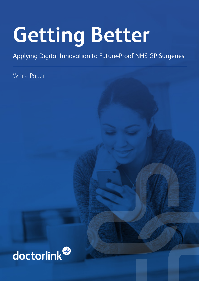# **Getting Better**

#### Applying Digital Innovation to Future-Proof NHS GP Surgeries

White Paper

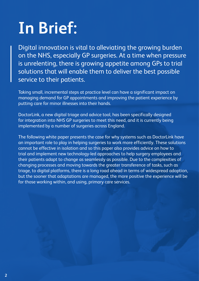### **In Brief:**

Digital innovation is vital to alleviating the growing burden on the NHS, especially GP surgeries. At a time when pressure is unrelenting, there is growing appetite among GPs to trial solutions that will enable them to deliver the best possible service to their patients.

Taking small, incremental steps at practice level can have a significant impact on managing demand for GP appointments and improving the patient experience by putting care for minor illnesses into their hands.

DoctorLink, a new digital triage and advice tool, has been specifically designed for integration into NHS GP surgeries to meet this need, and it is currently being implemented by a number of surgeries across England.

The following white paper presents the case for why systems such as DoctorLink have an important role to play in helping surgeries to work more efficiently. These solutions cannot be effective in isolation and so this paper also provides advice on how to trial and implement new technology-led approaches to help surgery employees and their patients adapt to change as seamlessly as possible. Due to the complexities of changing processes and moving towards the greater transference of tasks, such as triage, to digital platforms, there is a long road ahead in terms of widespread adoption, but the sooner that adaptations are managed, the more positive the experience will be for those working within, and using, primary care services.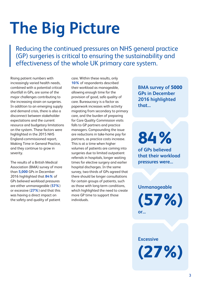### **The Big Picture**

Reducing the continued pressures on NHS general practice (GP) surgeries is critical to ensuring the sustainability and effectiveness of the whole UK primary care system.

Rising patient numbers with increasingly varied health needs, combined with a potential critical shortfall in GPs, are some of the major challenges contributing to the increasing strain on surgeries. In addition to an emerging supply and demand crisis, there is also a disconnect between stakeholder expectations and the current resource and budgetary limitations on the system. These factors were highlighted in the 2015 NHS England-commissioned report, Making Time in General Practice, and they continue to grow in severity.

The results of a British Medical Association (BMA) survey of more than **5,000** GPs in December 2016 highlighted that **84%** of GPs believed workload pressures are either unmanageable (**57%**) or excessive (**27%**) and that this was having a direct impact on the safety and quality of patient

care. Within these results, only **10%** of respondents described their workload as manageable, allowing enough time for the provision of good, safe quality of care. Bureaucracy is a factor as paperwork increases with activity migrating from secondary to primary care, and the burden of preparing for Care Quality Commission visits falls to GP partners and practice managers. Compounding the issue are reductions in take-home pay for partners, as practice costs increase. This is at a time when higher volumes of patients are coming into surgeries due to limited outpatient referrals in hospitals, longer waiting times for elective surgery and earlier hospital discharges. In the same survey, two-thirds of GPs agreed that there should be longer consultations for certain groups of patients, such as those with long-term conditions, which highlighted the need to create more GP time to support those individuals.

**BMA survey of 5000 GPs in December 2016 highlighted that...**

**84% of GPs believed that their workload pressures were...**

**Unmanageable (57%) or...**

**(27%)**

**Excessive**

**3**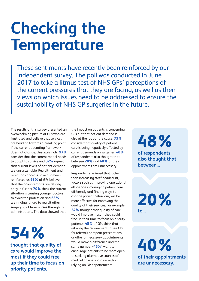### **Checking the Temperature**

These sentiments have recently been reinforced by our independent survey. The poll was conducted in June 2017 to take a litmus test of NHS GPs' perceptions of the current pressures that they are facing, as well as their views on which issues need to be addressed to ensure the sustainability of NHS GP surgeries in the future.

The results of this survey presented an overwhelming picture of GPs who are frustrated and believe that services are heading towards a breaking point if the current operating framework does not change. Unsurprisingly, **97%** consider that the current model needs to adapt to survive and **82%** agreed that current levels of patient demand are unsustainable. Recruitment and retention concerns have also been reinforced as **63%** of GPs believe that their counterparts are retiring early, a further **70%** think the current situation is causing younger doctors to avoid the profession and **63%**  are finding it hard to recruit other surgery staff from nurses through to administrators. The data showed that

**54%** 

**thought that quality of care would improve the most if they could free up their time to focus on priority patients.**

the impact on patients is concerning GPs but that patient demand is also at the root of the cause: **73%** consider that quality of patient care is being negatively affected by current demands on surgeries; **48%** of respondents also thought that between **20%** and **40%** of their appointments are unnecessary.

Respondents believed that rather than increasing staff headcount, factors such as improving operational efficiencies, managing patient care differently and finding ways to change patient behaviour, will be more effective for improving the quality of their services. For example, **54%** thought that quality of care would improve most if they could free up their time to focus on priority patients; **45%** of GPs think that relaxing the requirement to see GPs for referrals or repeat prescriptions or other unnecessary appointments would make a difference and the same number (**45%**) want to encourage patients to be more open to seeking alternative sources of medical advice and care without relying on GP appointments.

**48% of respondents also thought that between...**

**20% to...**

**40% of their appointments are unnecessary.**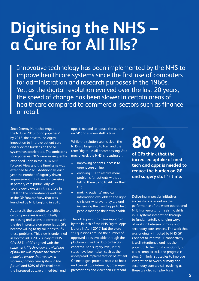### **Digitising the NHS – a Cure for All Ills?**

Innovative technology has been implemented by the NHS to improve healthcare systems since the first use of computers for administration and research purposes in the 1960s. Yet, as the digital revolution evolved over the last 20 years, the speed of change has been slower in certain areas of healthcare compared to commercial sectors such as finance or retail.

Since Jeremy Hunt challenged the NHS in 2013 to 'go paperless' by 2018, the drive to use digital innovation to improve patient care and alleviate burdens on the NHS system has accelerated. The ambitions for a paperless NHS were subsequently expanded upon in the 2014 NHS Forward View and the timeframe was extended to 2020. Additionally, each year the number of digitally driven improvement initiatives is increasing, in primary care particularly, as technology plays an intrinsic role in fulfilling the commitments outlined in the GP Forward View that was launched by NHS England in 2016.

As a result, the appetite to digitise certain processes is undoubtedly increasing and seems to correlate with the rise in pressure on surgeries as GPs become willing to try solutions to 'fix' these problems. This view is underlined in DoctorLink's 2017 survey of NHS GPs: 88% of GPs agreed with the statement, *"Technology is a vital part of how we will improve the current model to ensure that we have a working primary care system in the future"* and **80%** of GPs think that the increased uptake of med-tech and

apps is needed to reduce the burden on GP and surgery staff's time.

While the solution seems clear, the NHS is a large ship to turn and the term 'digital' is all-encompassing. At a macro-level, the NHS is focusing on:

- improving patients' access to urgent care online;
- enabling 111 to resolve more problems for patients without telling them to go to A&E or their GP;
- making patients' medical information available to the right clinicians wherever they are and increasing the use of apps to help people manage their own health.

The latter point has been supported by the launch of the NHS Digital Apps Library in April 2017, but there are still questions around the number of approved apps available through the platform, as well as data protection concerns. At a surgery level, initial steps have been taken such as the widespread implementation of Patient Online to give patients access to book and cancel appointments, order repeat prescriptions and view their GP record.

**80%** 

**of GPs think that the increased uptake of medtech and apps is needed to reduce the burden on GP and surgery staff's time.**

Delivering impactful initiatives successfully is reliant on the performance of the wider operational NHS framework, from seismic shifts in IT systems integration through to fundamentally changing ways of working between primary and secondary care services. The work that was originally initiated by NHS GP Connect to improve IT connectivity is well intentioned and has the potential to be transformational, but it is a complex task and progress is slow. Similarly, strategies to improve integration between primary and secondary care are still evolving as these are also complex tasks.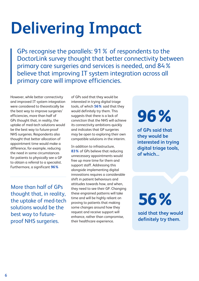## **Delivering Impact**

GPs recognise the parallels: 91% of respondents to the DoctorLink survey thought that better connectivity between primary care surgeries and services is needed, and 84% believe that improving IT system integration across all primary care will improve efficiencies.

However, while better connectivity and improved IT system integration were considered to theoretically be the best way to improve surgeries' efficiencies, more than half of GPs thought that, in reality, the uptake of med-tech solutions would be the best way to future-proof NHS surgeries. Respondents also thought that better allocation of appointment time would make a difference, for example, reducing the need in some circumstances for patients to physically see a GP to obtain a referral to a specialist. Furthermore, a significant **96%**

More than half of GPs thought that, in reality, the uptake of med-tech solutions would be the best way to futureproof NHS surgeries.

of GPs said that they would be interested in trying digital triage tools, of which **56%** said that they would definitely try them. This suggests that there is a lack of conviction that the NHS will achieve its connectivity ambitions quickly and indicates that GP surgeries may be open to exploring their own compatible solutions in the interim.

In addition to infrastructure, **83%** of GPs believe that reducing unnecessary appointments would free up more time for them and support staff. Addressing this alongside implementing digital innovations requires a considerable shift in patient behaviours and attitudes towards how, and when, they need to see their GP. Changing these engrained patterns will take time and will be highly reliant on proving to patients that making some changes around how they request and receive support will enhance, rather than compromise, their healthcare experience.

### **96%**

**of GPs said that they would be interested in trying digital triage tools, of which...**

**56% said that they would definitely try them.**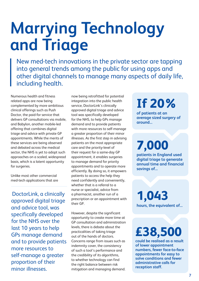### **Marrying Technology and Triage**

New med-tech innovations in the private sector are tapping into general trends among the public for using apps and other digital channels to manage many aspects of daily life, including health.

Numerous health and fitness related apps are now being complemented by more ambitious clinical offerings such as Push Doctor, the paid-for service that delivers GP consultations via mobile, and Babylon, another mobile-led offering that combines digital triage and advice with private GP appointments. While the merits of these services are being observed and debated across the medical sector, the NHS is yet to adopt such approaches on a scaled, widespread basis, which is a latent opportunity for surgeries.

Unlike most other commercial med-tech applications that are

 DoctorLink, a clinically approved digital triage and advice tool, was specifically developed for the NHS over the last 10 years to help GPs manage demand and to provide patients more resources to self-manage a greater proportion of their minor illnesses.

now being retrofitted for potential integration into the public health service, DoctorLink's clinically approved digital triage and advice tool was specifically developed for the NHS, to help GPs manage demand and to provide patients with more resources to self-manage a greater proportion of their minor illnesses. As the first step in advising patients on the most appropriate care and the priority-level of their request for a same-day GP appointment, it enables surgeries to manage demand for priority appointments and to operate more efficiently. By doing so, it empowers patients to access the help they need confidently and conveniently, whether that is a referral to a nurse or specialist, advice from a pharmacist, another run of a prescription or an appointment with their GP.

However, despite the significant opportunity to create more time at GP consultation and administration levels, there is debate about the practicalities of taking triage out of the hands of doctors. Concerns range from issues such as indemnity cover, the consistency of such a tool's performance and the credibility of its algorithms, to whether technology can find the right balance between risk mitigation and managing demand.

#### **If 20%**

**of patients at an average sized surgery of around...**

**7,000 patients in England used digital triage to generate annual time and financial** 

**savings of...** 

**1,043 hours, the equivalent of...**

**£38,500**

**could be realised as a result of lower appointment numbers, fewer face-to-face appointments for easy to solve conditions and fewer administrative calls for reception staff.**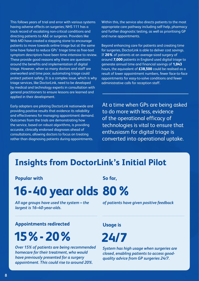This follows years of trial and error with various systems having adverse effects on surgeries; NHS 111 has a track record of escalating non-critical conditions and directing patients to A&E or surgeries. Providers like Web MD have created a stepping stone to encourage patients to move towards online triage but at the same time have failed to reduce GPs' triage time as free-text symptom descriptors have been time-intensive to review. These provide good reasons why there are questions around the benefits and implementation of digital triage. However, when so many doctors and staff are overworked and time poor, automating triage could protect patient safety. It is a complex issue, which is why triage services, like DoctorLink, need to be developed by medical and technology experts in consultation with general practitioners to ensure lessons are learned and applied in their development.

Early adopters are piloting DoctorLink nationwide and providing positive results that evidence its reliability and effectiveness for managing appointment demand. Outcomes from the trials are demonstrating how the service, based on robust algorithms, is providing accurate, clinically endorsed diagnoses ahead of consultations, allowing doctors to focus on treating rather than diagnosing patients during appointments.

Within this, the service also directs patients to the most appropriate care pathway including self-help, pharmacy and further diagnostic testing, as well as prioritising GP and nurse appointments.

Beyond enhancing care for patients and creating time for surgeries, DoctorLink is able to deliver cost savings. If **20%** of patients at an average-sized surgery of around **7,000** patients in England used digital triage to generate annual time and financial savings of **1,043** hours, the equivalent of **£38,500** could be realised as a result of lower appointment numbers, fewer face-to-face appointments for easy-to-solve conditions and fewer administrative calls for reception staff.

At a time when GPs are being asked to do more with less, evidence of the operational efficacy of technologies is vital to ensure that enthusiasm for digital triage is converted into operational uptake.

#### **Insights from DoctorLink's Initial Pilot**

**Popular with**

#### **16-40 year olds 80%**

*All age groups have used the system – the largest is 16–40-year-olds.*

**So far,**

*of patients have given positive feedback* 

**Appointments redirected**

 **15%- 20%**

*Over 15% of patients are being recommended homecare for their treatment, who would have previously presented for a surgery appointment. This could rise to around 20%.* 

**Usage is**

**24/7**

*System has high usage when surgeries are closed, enabling patients to access goodquality advice from GP surgeries 24/7.*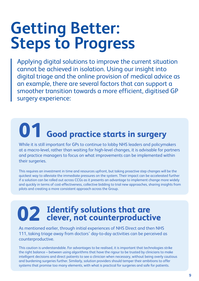### **Getting Better: Steps to Progress**

Applying digital solutions to improve the current situation cannot be achieved in isolation. Using our insight into digital triage and the online provision of medical advice as an example, there are several factors that can support a smoother transition towards a more efficient, digitised GP surgery experience:

# **01 Good practice starts in surgery**

While it is still important for GPs to continue to lobby NHS leaders and policymakers at a macro-level, rather than waiting for high-level changes, it is advisable for partners and practice managers to focus on what improvements can be implemented within their surgeries.

This requires an investment in time and resources upfront, but taking proactive step changes will be the quickest way to alleviate the immediate pressures on the system. Their impact can be accelerated further if a solution can be rolled out across CCGs as it presents an advantage to implement change more widely and quickly in terms of cost-effectiveness, collective bidding to trial new approaches, sharing insights from pilots and creating a more consistent approach across the Group.

### **Identify solutions that are 02 clever, not counterproductive**

As mentioned earlier, through initial experiences of NHS Direct and then NHS 111, taking triage away from doctors' day-to-day activities can be perceived as counterproductive.

This caution is understandable. For advantages to be realised, it is important that technologies strike the right balance – between using algorithms that have the rigour to be trusted by clinicians to make intelligent decisions and direct patients to see a clinician when necessary, without being overly cautious and burdening surgeries further. Similarly, solution providers should temper their ambitions to offer systems that promise too many elements, with what is practical for surgeries and safe for patients.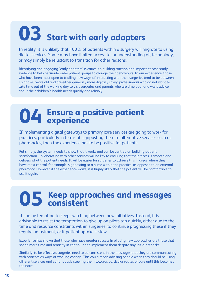## **03 Start with early adopters**

In reality, it is unlikely that 100% of patients within a surgery will migrate to using digital services. Some may have limited access to, or understanding of, technology, or may simply be reluctant to transition for other reasons.

Identifying and engaging 'early adopters' is critical to building traction and important case study evidence to help persuade wider patient groups to change their behaviours. In our experience, those who have been most open to trialling new ways of interacting with their surgeries tend to be between 16 and 40 years old and are either generally more digitally savvy, professionals who do not want to take time out of the working day to visit surgeries and parents who are time poor and want advice about their children's health needs quickly and reliably.

## **04 Ensure a positive patient experience**

If implementing digital gateways to primary care services are going to work for practices, particularly in terms of signposting them to alternative services such as pharmacies, then the experience has to be positive for patients.

Put simply, the system needs to show that it works and can be centred on building patient satisfaction. Collaborating with other services will be key to ensuring that the process is smooth and delivers what the patient needs. It will be easier for surgeries to achieve this in areas where they have most control, for example, signposting to a nurse within the practice, as opposed to an external pharmacy. However, if the experience works, it is highly likely that the patient will be comfortable to use it again.

### **Keep approaches and messages 05 consistent**

It can be tempting to keep switching between new initiatives. Instead, it is advisable to resist the temptation to give up on pilots too quickly, either due to the time and resource constraints within surgeries, to continue progressing these if they require adjustment, or if patient uptake is slow.

Experience has shown that those who have greater success in piloting new approaches are those that spend more time and tenacity in continuing to implement them despite any initial setbacks.

Similarly, to be effective, surgeries need to be consistent in the messages that they are communicating with patients as ways of working change. This could mean advising people when they should be using different services and continuously steering them towards particular routes of care until this becomes the norm.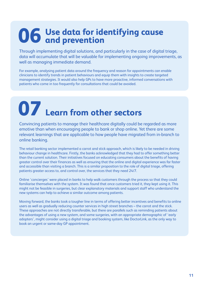### **Use data for identifying cause 06 and prevention**

Through implementing digital solutions, and particularly in the case of digital triage, data will accumulate that will be valuable for implementing ongoing improvements, as well as managing immediate demand.

For example, analysing patient data around the frequency and reason for appointments can enable clinicians to identify trends in patient behaviours and equip them with insights to create targeted management strategies. It would also help GPs to have more proactive, informed conversations with patients who come in too frequently for consultations that could be avoided.

**07 Learn from other sectors**

Convincing patients to manage their healthcare digitally could be regarded as more emotive than when encouraging people to bank or shop online. Yet there are some relevant learnings that are applicable to how people have migrated from in-branch to online banking.

The retail banking sector implemented a carrot and stick approach, which is likely to be needed in driving behaviour change in healthcare. Firstly, the banks acknowledged that they had to offer something better than the current solution. Their initiatives focused on educating consumers about the benefits of having greater control over their finances as well as ensuring that the online and digital experience was far faster and accessible than visiting a branch. This is a similar proposition to the role of digital triage, offering patients greater access to, and control over, the services that they need 24/7.

Online 'concierges' were placed in banks to help walk customers through the process so that they could familiarise themselves with the system. It was found that once customers tried it, they kept using it. This might not be feasible in surgeries, but clear explanatory materials and support staff who understand the new systems can help to achieve a similar outcome among patients.

Moving forward, the banks took a tougher line in terms of offering better incentives and benefits to online users as well as gradually reducing counter services in high street branches – the carrot and the stick. These approaches are not directly transferable, but there are parallels such as reminding patients about the advantages of using a new system, and some surgeries, with an appropriate demographic of 'early adopters', might consider using a digital triage and booking system, like DoctorLink, as the only way to book an urgent or same-day GP appointment.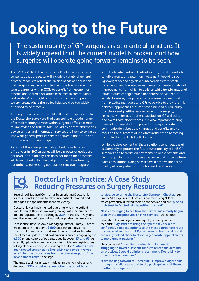### **Looking to the Future**

The sustainability of GP surgeries is at a critical juncture. It is widely agreed that the current model is broken, and how surgeries will operate going forward remains to be seen.

The BMA's 2016 Future of General Practice report showed consensus that the sector will include a variety of general practice models to reflect the diverse needs of populations and geographies. For example, the move towards merging several surgeries within CCGs to benefit from economies of scale and shared back-office resources to create 'Super Partnerships' is thought only to work in cities compared to rural areas, where shared facilities could be too widely dispersed to be effective.

Although there is no one-size-fits-all model, respondents to the DoctorLink survey see that converging a broader range of complementary services within surgeries offers potential for improving the system; 60% of GPs think that pharmacies, advice centres and information services are likely to converge into what general practice services deliver in the future and that this is a positive change.

As part of this change, using digital solutions to unlock efficiencies in NHS surgeries will be a process of evolution, not revolution. Similarly, this does not mean that practices will have to find extensive budgets for new investments, but rather select existing approaches that can integrate

seamlessly into existing IT infrastructure, and demonstrate tangible results and return on investment. Applying such lightweight technology-driven interventions with small, incremental and targeted investments can create significant improvements from which to build on while transformational infrastructure changes take place across the NHS more widely. However, it requires a more commercial mind-set from practice managers and GPs to be able to draw the link between approaches that can save time and bureaucracy, and the overall positive performance of the surgery, collectively in terms of patient satisfaction, GP wellbeing and overall cost-effectiveness. It is also important to bring along all surgery staff and patients through consistent communication about the changes and benefits and to focus on the outcomes of initiatives rather than becoming distracted by the digital activity itself.

While the development of these solutions continues, the aim is ultimately to protect the future sustainability of NHS GP surgeries and to create an environment where patients and GPs are gaining the optimum experience and outcome from each consultation. Doing so will have a positive impact on quality of care, patient satisfaction and GPs' careers.



#### **DoctorLink in Practice: A Case Study Reducing Pressures on Surgery Resources**

Beversbrook Medical Centre has been piloting DoctorLink for four months in a bid to rebalance patient demand and manage GP appointments more efficiently.

DoctorLink was implemented at a time when the patient population at Beversbrook was growing, with the number of patient registrations increasing by **22%** in the last five years, and the increased demand was adding a strain on resources.

In response, Beversbrook's Managing Partner, Emmy Butcher encouraged the surgery's **7,000** patients to register to DoctorLink through text and email alerts as well as targeted social media updates, and had particular success engaging the **4,300** strong cohort of patients aged between **17 and 65.** As a result, uptake has been encouraging, with new registrations taking place on a daily basis during the pilot. **"Patients have been excited to sign up to DoctorLink and to be involved in refining the dispositions from the out-set as part of the development team"**, she says.

The triage tool has already made an impact on rebalancing demand. **"33% of patients contacting the out of hours** 

**service, do so using the DoctorLink Symptom Checker,"** says Emmy. She explains that patients are bypassing NHS 111, which previously directed them to the service and are **"placing their trust in DoctorLink dispositions instead".** 

**"It is encouraging to see how the service has already begun to alleviate the pressures on NHS services,"** she reports.

Beversbrook's employees have equally offered positive feedback. **"My staff are using the Symptom Checker to confidently signpost patients to the most appropriate route of care, whether this is a GP, a nurse or a pharmacist and it has really helped them to effectively allocate appointments to more urgent patients."** 

She concluded: **"In a climate when NHS England is struggling to invest sufficient funds to relieve the demand on practices, I would definitely recommend DoctorLink to other practice managers."** 

**"I am looking forward to DoctorLink's improved algorithms through this pilot stage and to the package being delivered to other GP surgeries."**